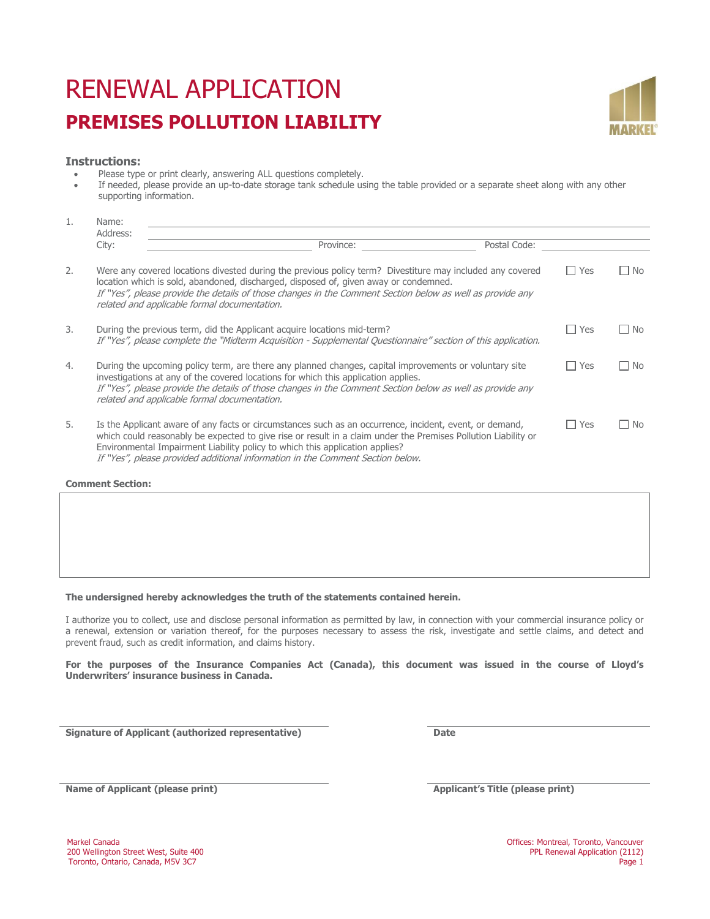# RENEWAL APPLICATION **PREMISES POLLUTION LIABILITY**



# **Instructions:**

Namo:

- Please type or print clearly, answering ALL questions completely.
- If needed, please provide an up-to-date storage tank schedule using the table provided or a separate sheet along with any other supporting information.

| <b>L</b> . | $N$ a $n \in I$<br>Address:                                                                                                                                                                                                                                                                                                                                                                 |           |              |                 |              |  |  |  |  |  |
|------------|---------------------------------------------------------------------------------------------------------------------------------------------------------------------------------------------------------------------------------------------------------------------------------------------------------------------------------------------------------------------------------------------|-----------|--------------|-----------------|--------------|--|--|--|--|--|
|            | City:                                                                                                                                                                                                                                                                                                                                                                                       | Province: | Postal Code: |                 |              |  |  |  |  |  |
| 2.         | Were any covered locations divested during the previous policy term? Divestiture may included any covered<br>location which is sold, abandoned, discharged, disposed of, given away or condemned.<br>If "Yes", please provide the details of those changes in the Comment Section below as well as provide any<br>related and applicable formal documentation.                              |           |              | Yes             | No<br>$\sim$ |  |  |  |  |  |
| 3.         | During the previous term, did the Applicant acquire locations mid-term?<br>If "Yes", please complete the "Midterm Acquisition - Supplemental Questionnaire" section of this application.                                                                                                                                                                                                    |           |              | l l Yes         | l I No       |  |  |  |  |  |
| 4.         | During the upcoming policy term, are there any planned changes, capital improvements or voluntary site<br>investigations at any of the covered locations for which this application applies.<br>If "Yes", please provide the details of those changes in the Comment Section below as well as provide any<br>related and applicable formal documentation.                                   |           |              | $\sqsupset$ Yes | $\Box$ No    |  |  |  |  |  |
| 5.         | Is the Applicant aware of any facts or circumstances such as an occurrence, incident, event, or demand,<br>which could reasonably be expected to give rise or result in a claim under the Premises Pollution Liability or<br>Environmental Impairment Liability policy to which this application applies?<br>If "Yes", please provided additional information in the Comment Section below. |           |              | $\Box$ Yes      | $\Box$ No    |  |  |  |  |  |

**Comment Section:**

# **The undersigned hereby acknowledges the truth of the statements contained herein.**

I authorize you to collect, use and disclose personal information as permitted by law, in connection with your commercial insurance policy or a renewal, extension or variation thereof, for the purposes necessary to assess the risk, investigate and settle claims, and detect and prevent fraud, such as credit information, and claims history.

**For the purposes of the Insurance Companies Act (Canada), this document was issued in the course of Lloyd's Underwriters' insurance business in Canada.** 

**Signature of Applicant (authorized representative) Date**

**Name of Applicant (please print) Applicant's Title (please print) Applicant's Title (please print)**